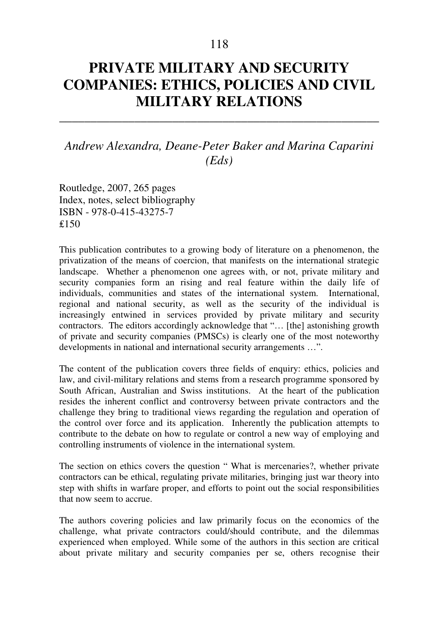## **PRIVATE MILITARY AND SECURITY COMPANIES: ETHICS, POLICIES AND CIVIL MILITARY RELATIONS**

\_\_\_\_\_\_\_\_\_\_\_\_\_\_\_\_\_\_\_\_\_\_\_\_\_\_\_\_\_\_\_\_\_\_\_\_\_\_\_\_\_\_\_\_\_\_\_\_\_\_\_

*Andrew Alexandra, Deane-Peter Baker and Marina Caparini (Eds)* 

Routledge, 2007, 265 pages Index, notes, select bibliography ISBN - 978-0-415-43275-7 ₤150

This publication contributes to a growing body of literature on a phenomenon, the privatization of the means of coercion, that manifests on the international strategic landscape. Whether a phenomenon one agrees with, or not, private military and security companies form an rising and real feature within the daily life of individuals, communities and states of the international system. International, regional and national security, as well as the security of the individual is increasingly entwined in services provided by private military and security contractors. The editors accordingly acknowledge that "… [the] astonishing growth of private and security companies (PMSCs) is clearly one of the most noteworthy developments in national and international security arrangements …".

The content of the publication covers three fields of enquiry: ethics, policies and law, and civil-military relations and stems from a research programme sponsored by South African, Australian and Swiss institutions. At the heart of the publication resides the inherent conflict and controversy between private contractors and the challenge they bring to traditional views regarding the regulation and operation of the control over force and its application. Inherently the publication attempts to contribute to the debate on how to regulate or control a new way of employing and controlling instruments of violence in the international system.

The section on ethics covers the question " What is mercenaries?, whether private contractors can be ethical, regulating private militaries, bringing just war theory into step with shifts in warfare proper, and efforts to point out the social responsibilities that now seem to accrue.

The authors covering policies and law primarily focus on the economics of the challenge, what private contractors could/should contribute, and the dilemmas experienced when employed. While some of the authors in this section are critical about private military and security companies per se, others recognise their